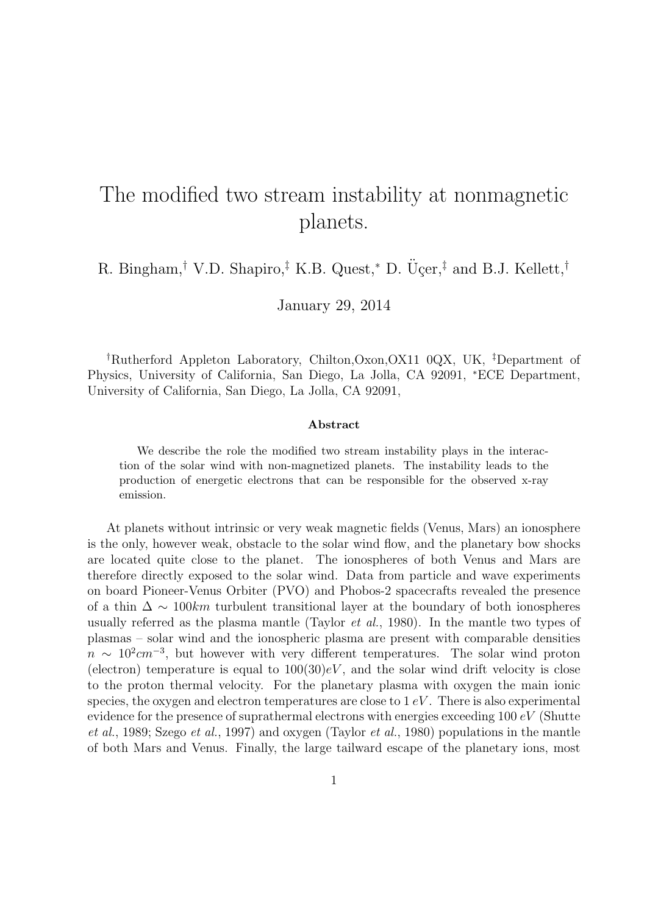## The modified two stream instability at nonmagnetic planets.

R. Bingham,*†* V.D. Shapiro,*‡* K.B. Quest,*<sup>∗</sup>* D. U¸cer, ¨ *‡* and B.J. Kellett,*†*

January 29, 2014

*†*Rutherford Appleton Laboratory, Chilton,Oxon,OX11 0QX, UK, *‡*Department of Physics, University of California, San Diego, La Jolla, CA 92091, *<sup>∗</sup>*ECE Department, University of California, San Diego, La Jolla, CA 92091,

## **Abstract**

We describe the role the modified two stream instability plays in the interaction of the solar wind with non-magnetized planets. The instability leads to the production of energetic electrons that can be responsible for the observed x-ray emission.

At planets without intrinsic or very weak magnetic fields (Venus, Mars) an ionosphere is the only, however weak, obstacle to the solar wind flow, and the planetary bow shocks are located quite close to the planet. The ionospheres of both Venus and Mars are therefore directly exposed to the solar wind. Data from particle and wave experiments on board Pioneer-Venus Orbiter (PVO) and Phobos-2 spacecrafts revealed the presence of a thin ∆ *∼* 100*km* turbulent transitional layer at the boundary of both ionospheres usually referred as the plasma mantle (Taylor *et al.*, 1980). In the mantle two types of plasmas – solar wind and the ionospheric plasma are present with comparable densities  $n \sim 10^2$  *cm*<sup>−3</sup>, but however with very different temperatures. The solar wind proton (electron) temperature is equal to  $100(30)eV$ , and the solar wind drift velocity is close to the proton thermal velocity. For the planetary plasma with oxygen the main ionic species, the oxygen and electron temperatures are close to 1 *eV* . There is also experimental evidence for the presence of suprathermal electrons with energies exceeding 100 *eV* (Shutte *et al.*, 1989; Szego *et al.*, 1997) and oxygen (Taylor *et al.*, 1980) populations in the mantle of both Mars and Venus. Finally, the large tailward escape of the planetary ions, most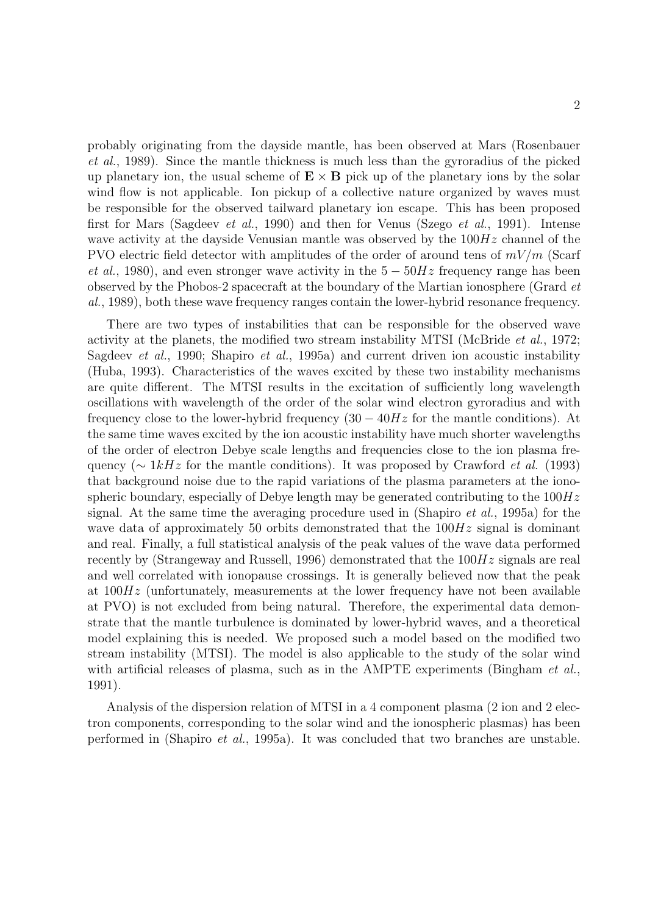probably originating from the dayside mantle, has been observed at Mars (Rosenbauer *et al.*, 1989). Since the mantle thickness is much less than the gyroradius of the picked up planetary ion, the usual scheme of  $\mathbf{E} \times \mathbf{B}$  pick up of the planetary ions by the solar wind flow is not applicable. Ion pickup of a collective nature organized by waves must be responsible for the observed tailward planetary ion escape. This has been proposed first for Mars (Sagdeev *et al.*, 1990) and then for Venus (Szego *et al.*, 1991). Intense wave activity at the dayside Venusian mantle was observed by the 100*Hz* channel of the PVO electric field detector with amplitudes of the order of around tens of *mV/m* (Scarf *et al.*, 1980), and even stronger wave activity in the 5 − 50*Hz* frequency range has been observed by the Phobos-2 spacecraft at the boundary of the Martian ionosphere (Grard *et al.*, 1989), both these wave frequency ranges contain the lower-hybrid resonance frequency.

There are two types of instabilities that can be responsible for the observed wave activity at the planets, the modified two stream instability MTSI (McBride *et al.*, 1972; Sagdeev *et al.*, 1990; Shapiro *et al.*, 1995a) and current driven ion acoustic instability (Huba, 1993). Characteristics of the waves excited by these two instability mechanisms are quite different. The MTSI results in the excitation of sufficiently long wavelength oscillations with wavelength of the order of the solar wind electron gyroradius and with frequency close to the lower-hybrid frequency (30 *−* 40*Hz* for the mantle conditions). At the same time waves excited by the ion acoustic instability have much shorter wavelengths of the order of electron Debye scale lengths and frequencies close to the ion plasma frequency (*∼* 1*kHz* for the mantle conditions). It was proposed by Crawford *et al.* (1993) that background noise due to the rapid variations of the plasma parameters at the ionospheric boundary, especially of Debye length may be generated contributing to the 100*Hz* signal. At the same time the averaging procedure used in (Shapiro *et al.*, 1995a) for the wave data of approximately 50 orbits demonstrated that the 100*Hz* signal is dominant and real. Finally, a full statistical analysis of the peak values of the wave data performed recently by (Strangeway and Russell, 1996) demonstrated that the 100*Hz* signals are real and well correlated with ionopause crossings. It is generally believed now that the peak at 100*Hz* (unfortunately, measurements at the lower frequency have not been available at PVO) is not excluded from being natural. Therefore, the experimental data demonstrate that the mantle turbulence is dominated by lower-hybrid waves, and a theoretical model explaining this is needed. We proposed such a model based on the modified two stream instability (MTSI). The model is also applicable to the study of the solar wind with artificial releases of plasma, such as in the AMPTE experiments (Bingham *et al.*, 1991).

Analysis of the dispersion relation of MTSI in a 4 component plasma (2 ion and 2 electron components, corresponding to the solar wind and the ionospheric plasmas) has been performed in (Shapiro *et al.*, 1995a). It was concluded that two branches are unstable.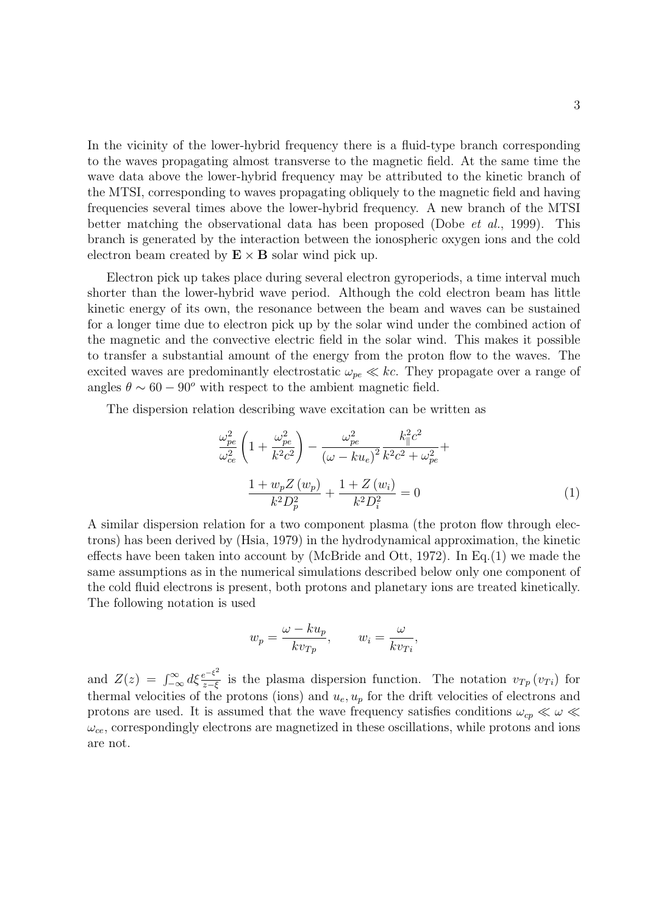In the vicinity of the lower-hybrid frequency there is a fluid-type branch corresponding to the waves propagating almost transverse to the magnetic field. At the same time the wave data above the lower-hybrid frequency may be attributed to the kinetic branch of the MTSI, corresponding to waves propagating obliquely to the magnetic field and having frequencies several times above the lower-hybrid frequency. A new branch of the MTSI better matching the observational data has been proposed (Dobe *et al.*, 1999). This branch is generated by the interaction between the ionospheric oxygen ions and the cold electron beam created by  $\mathbf{E} \times \mathbf{B}$  solar wind pick up.

Electron pick up takes place during several electron gyroperiods, a time interval much shorter than the lower-hybrid wave period. Although the cold electron beam has little kinetic energy of its own, the resonance between the beam and waves can be sustained for a longer time due to electron pick up by the solar wind under the combined action of the magnetic and the convective electric field in the solar wind. This makes it possible to transfer a substantial amount of the energy from the proton flow to the waves. The excited waves are predominantly electrostatic  $\omega_{pe} \ll kc$ . They propagate over a range of angles  $\theta \sim 60 - 90^{\circ}$  with respect to the ambient magnetic field.

The dispersion relation describing wave excitation can be written as

$$
\frac{\omega_{pe}^2}{\omega_{ce}^2} \left( 1 + \frac{\omega_{pe}^2}{k^2 c^2} \right) - \frac{\omega_{pe}^2}{(\omega - ku_e)^2} \frac{k_{\parallel}^2 c^2}{k^2 c^2 + \omega_{pe}^2} + \frac{1 + w_p Z(w_p)}{k^2 D_p^2} + \frac{1 + Z(w_i)}{k^2 D_i^2} = 0 \tag{1}
$$

A similar dispersion relation for a two component plasma (the proton flow through electrons) has been derived by (Hsia, 1979) in the hydrodynamical approximation, the kinetic effects have been taken into account by (McBride and Ott, 1972). In Eq. (1) we made the same assumptions as in the numerical simulations described below only one component of the cold fluid electrons is present, both protons and planetary ions are treated kinetically. The following notation is used

$$
w_p = \frac{\omega - ku_p}{kv_{Tp}}, \qquad w_i = \frac{\omega}{kv_{T_i}},
$$

and  $Z(z) = \int_{-\infty}^{\infty} d\xi \frac{e^{-\xi^2}}{z-\xi}$  $\frac{e^{-\xi}}{z-\xi}$  is the plasma dispersion function. The notation *v<sub>Tp</sub>* (*v<sub>Ti</sub>*) for thermal velocities of the protons (ions) and  $u_e, u_p$  for the drift velocities of electrons and protons are used. It is assumed that the wave frequency satisfies conditions  $\omega_{cp} \ll \omega \ll$  $\omega_{ce}$ , correspondingly electrons are magnetized in these oscillations, while protons and ions are not.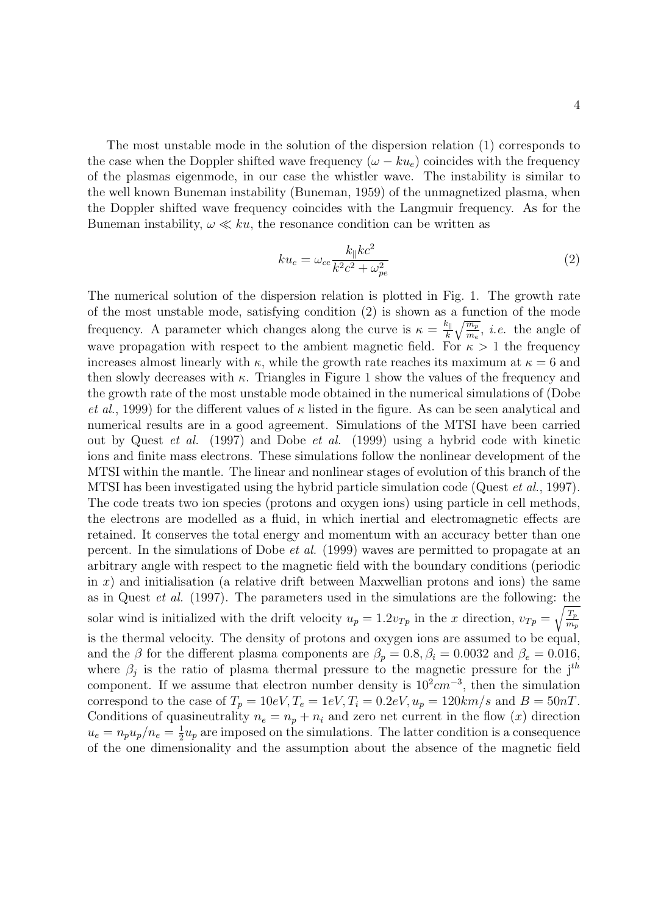The most unstable mode in the solution of the dispersion relation (1) corresponds to the case when the Doppler shifted wave frequency  $(\omega - k u_e)$  coincides with the frequency of the plasmas eigenmode, in our case the whistler wave. The instability is similar to the well known Buneman instability (Buneman, 1959) of the unmagnetized plasma, when the Doppler shifted wave frequency coincides with the Langmuir frequency. As for the Buneman instability,  $\omega \ll ku$ , the resonance condition can be written as

$$
ku_e = \omega_{ce} \frac{k_{\parallel}kc^2}{k^2c^2 + \omega_{pe}^2}
$$
 (2)

The numerical solution of the dispersion relation is plotted in Fig. 1. The growth rate of the most unstable mode, satisfying condition (2) is shown as a function of the mode frequency. A parameter which changes along the curve is  $\kappa = \frac{k_{\parallel}}{k}$ √*m<sup>p</sup>*  $\frac{m_p}{m_e}$ , *i.e.* the angle of wave propagation with respect to the ambient magnetic field. For  $\kappa > 1$  the frequency increases almost linearly with  $\kappa$ , while the growth rate reaches its maximum at  $\kappa = 6$  and then slowly decreases with *κ*. Triangles in Figure 1 show the values of the frequency and the growth rate of the most unstable mode obtained in the numerical simulations of (Dobe *et al.*, 1999) for the different values of  $\kappa$  listed in the figure. As can be seen analytical and numerical results are in a good agreement. Simulations of the MTSI have been carried out by Quest *et al.* (1997) and Dobe *et al.* (1999) using a hybrid code with kinetic ions and finite mass electrons. These simulations follow the nonlinear development of the MTSI within the mantle. The linear and nonlinear stages of evolution of this branch of the MTSI has been investigated using the hybrid particle simulation code (Quest *et al.*, 1997). The code treats two ion species (protons and oxygen ions) using particle in cell methods, the electrons are modelled as a fluid, in which inertial and electromagnetic effects are retained. It conserves the total energy and momentum with an accuracy better than one percent. In the simulations of Dobe *et al.* (1999) waves are permitted to propagate at an arbitrary angle with respect to the magnetic field with the boundary conditions (periodic in *x*) and initialisation (a relative drift between Maxwellian protons and ions) the same as in Quest *et al.* (1997). The parameters used in the simulations are the following: the solar wind is initialized with the drift velocity  $u_p = 1.2v_{Tp}$  in the *x* direction,  $v_{Tp} = \sqrt{\frac{T_p}{m}}$ *mp* is the thermal velocity. The density of protons and oxygen ions are assumed to be equal, and the *β* for the different plasma components are  $\beta_p = 0.8$ ,  $\beta_i = 0.0032$  and  $\beta_e = 0.016$ , where  $\beta_j$  is the ratio of plasma thermal pressure to the magnetic pressure for the j<sup>th</sup> component. If we assume that electron number density is  $10<sup>2</sup> cm<sup>-3</sup>$ , then the simulation correspond to the case of  $T_p = 10eV$ ,  $T_e = 1eV$ ,  $T_i = 0.2eV$ ,  $u_p = 120km/s$  and  $B = 50nT$ . Conditions of quasineutrality  $n_e = n_p + n_i$  and zero net current in the flow  $(x)$  direction  $u_e = n_p u_p / n_e = \frac{1}{2}$  $\frac{1}{2}u_p$  are imposed on the simulations. The latter condition is a consequence of the one dimensionality and the assumption about the absence of the magnetic field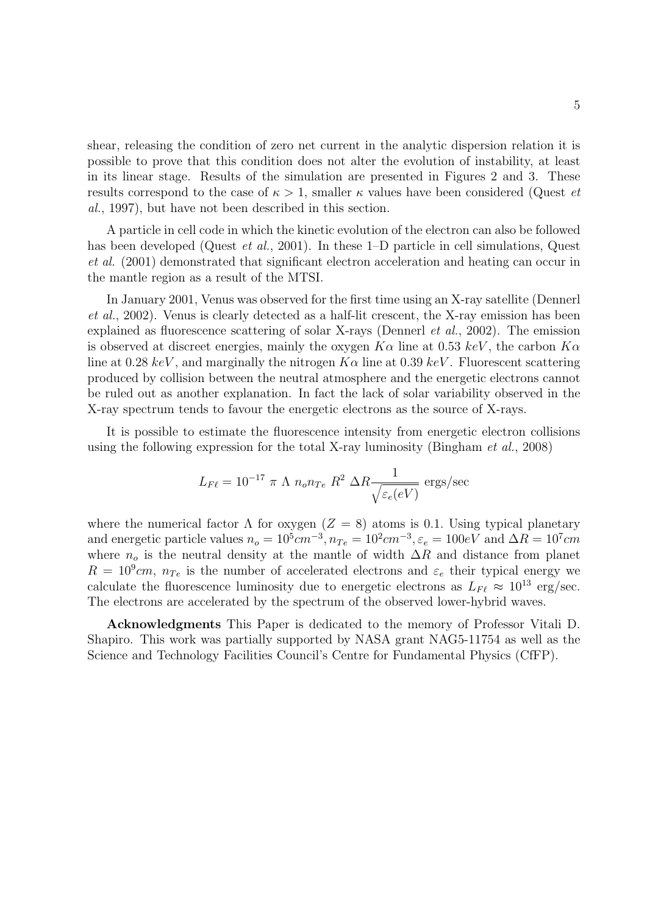shear, releasing the condition of zero net current in the analytic dispersion relation it is possible to prove that this condition does not alter the evolution of instability, at least in its linear stage. Results of the simulation are presented in Figures 2 and 3. These results correspond to the case of  $\kappa > 1$ , smaller  $\kappa$  values have been considered (Quest *et al.*, 1997), but have not been described in this section.

A particle in cell code in which the kinetic evolution of the electron can also be followed has been developed (Quest *et al.*, 2001). In these 1–D particle in cell simulations, Quest *et al.* (2001) demonstrated that significant electron acceleration and heating can occur in the mantle region as a result of the MTSI.

In January 2001, Venus was observed for the first time using an X-ray satellite (Dennerl *et al.*, 2002). Venus is clearly detected as a half-lit crescent, the X-ray emission has been explained as fluorescence scattering of solar X-rays (Dennerl *et al.*, 2002). The emission is observed at discreet energies, mainly the oxygen *Kα* line at 0*.*53 *keV* , the carbon *Kα* line at 0.28  $keV$ , and marginally the nitrogen  $K\alpha$  line at 0.39  $keV$ . Fluorescent scattering produced by collision between the neutral atmosphere and the energetic electrons cannot be ruled out as another explanation. In fact the lack of solar variability observed in the X-ray spectrum tends to favour the energetic electrons as the source of X-rays.

It is possible to estimate the fluorescence intensity from energetic electron collisions using the following expression for the total X-ray luminosity (Bingham *et al.*, 2008)

$$
L_{F\ell} = 10^{-17} \pi \Lambda n_o n_{Te} R^2 \Delta R \frac{1}{\sqrt{\varepsilon_e(eV)}} \text{ ergs/sec}
$$

where the numerical factor  $\Lambda$  for oxygen ( $Z = 8$ ) atoms is 0.1*.* Using typical planetary and energetic particle values  $n_o = 10^5 cm^{-3}$ ,  $n_{Te} = 10^2 cm^{-3}$ ,  $\varepsilon_e = 100 eV$  and  $\Delta R = 10^7 cm$ where  $n<sub>o</sub>$  is the neutral density at the mantle of width  $\Delta R$  and distance from planet  $R = 10<sup>9</sup> cm$ ,  $n<sub>Te</sub>$  is the number of accelerated electrons and  $\varepsilon<sub>e</sub>$  their typical energy we calculate the fluorescence luminosity due to energetic electrons as  $L_{F\ell} \approx 10^{13} \text{ erg/sec.}$ The electrons are accelerated by the spectrum of the observed lower-hybrid waves.

**Acknowledgments** This Paper is dedicated to the memory of Professor Vitali D. Shapiro. This work was partially supported by NASA grant NAG5-11754 as well as the Science and Technology Facilities Council's Centre for Fundamental Physics (CfFP).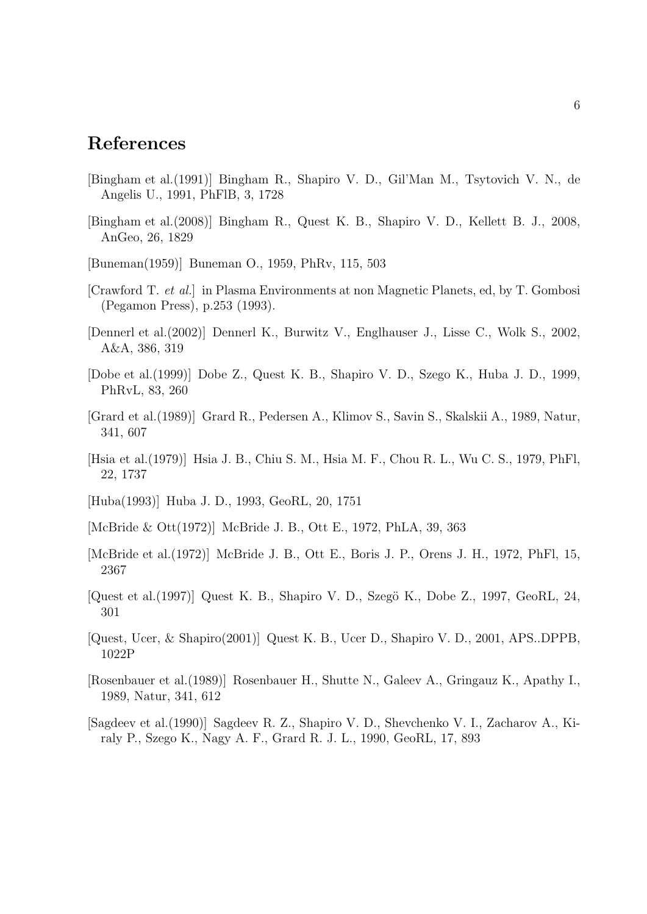## **References**

- [Bingham et al.(1991)] Bingham R., Shapiro V. D., Gil'Man M., Tsytovich V. N., de Angelis U., 1991, PhFlB, 3, 1728
- [Bingham et al.(2008)] Bingham R., Quest K. B., Shapiro V. D., Kellett B. J., 2008, AnGeo, 26, 1829
- [Buneman(1959)] Buneman O., 1959, PhRv, 115, 503
- [Crawford T. *et al.*] in Plasma Environments at non Magnetic Planets, ed, by T. Gombosi (Pegamon Press), p.253 (1993).
- [Dennerl et al.(2002)] Dennerl K., Burwitz V., Englhauser J., Lisse C., Wolk S., 2002, A&A, 386, 319
- [Dobe et al.(1999)] Dobe Z., Quest K. B., Shapiro V. D., Szego K., Huba J. D., 1999, PhRvL, 83, 260
- [Grard et al.(1989)] Grard R., Pedersen A., Klimov S., Savin S., Skalskii A., 1989, Natur, 341, 607
- [Hsia et al.(1979)] Hsia J. B., Chiu S. M., Hsia M. F., Chou R. L., Wu C. S., 1979, PhFl, 22, 1737
- [Huba(1993)] Huba J. D., 1993, GeoRL, 20, 1751
- [McBride & Ott(1972)] McBride J. B., Ott E., 1972, PhLA, 39, 363
- [McBride et al.(1972)] McBride J. B., Ott E., Boris J. P., Orens J. H., 1972, PhFl, 15, 2367
- [Quest et al.(1997)] Quest K. B., Shapiro V. D., Szegö K., Dobe Z., 1997, GeoRL, 24, 301
- [Quest, Ucer, & Shapiro(2001)] Quest K. B., Ucer D., Shapiro V. D., 2001, APS..DPPB, 1022P
- [Rosenbauer et al.(1989)] Rosenbauer H., Shutte N., Galeev A., Gringauz K., Apathy I., 1989, Natur, 341, 612
- [Sagdeev et al.(1990)] Sagdeev R. Z., Shapiro V. D., Shevchenko V. I., Zacharov A., Kiraly P., Szego K., Nagy A. F., Grard R. J. L., 1990, GeoRL, 17, 893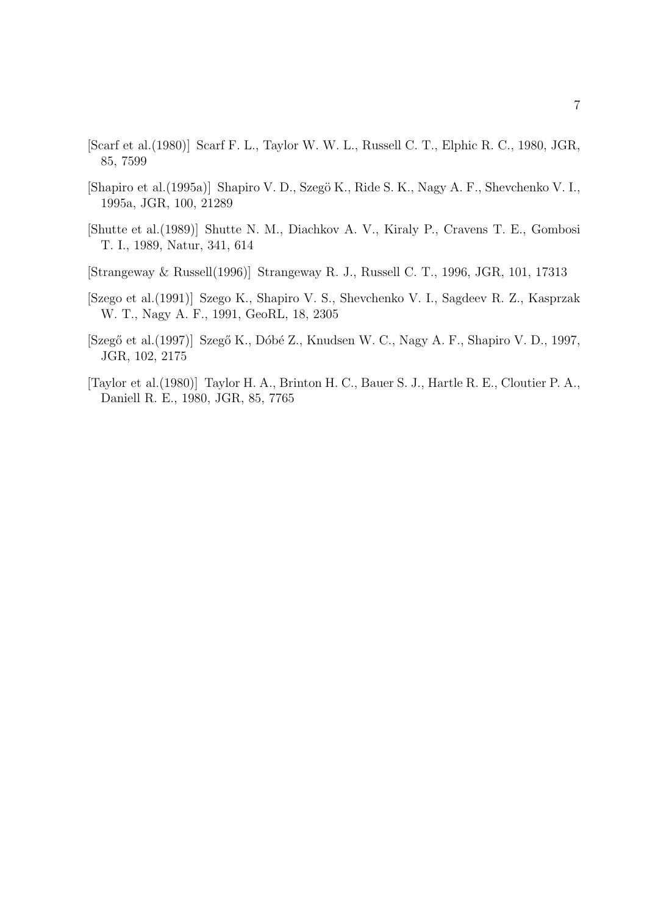- [Scarf et al.(1980)] Scarf F. L., Taylor W. W. L., Russell C. T., Elphic R. C., 1980, JGR, 85, 7599
- [Shapiro et al.(1995a)] Shapiro V. D., Szegö K., Ride S. K., Nagy A. F., Shevchenko V. I., 1995a, JGR, 100, 21289
- [Shutte et al.(1989)] Shutte N. M., Diachkov A. V., Kiraly P., Cravens T. E., Gombosi T. I., 1989, Natur, 341, 614
- [Strangeway & Russell(1996)] Strangeway R. J., Russell C. T., 1996, JGR, 101, 17313
- [Szego et al.(1991)] Szego K., Shapiro V. S., Shevchenko V. I., Sagdeev R. Z., Kasprzak W. T., Nagy A. F., 1991, GeoRL, 18, 2305
- [Szegő et al.(1997)] Szegő K., Dóbé Z., Knudsen W. C., Nagy A. F., Shapiro V. D., 1997, JGR, 102, 2175
- [Taylor et al.(1980)] Taylor H. A., Brinton H. C., Bauer S. J., Hartle R. E., Cloutier P. A., Daniell R. E., 1980, JGR, 85, 7765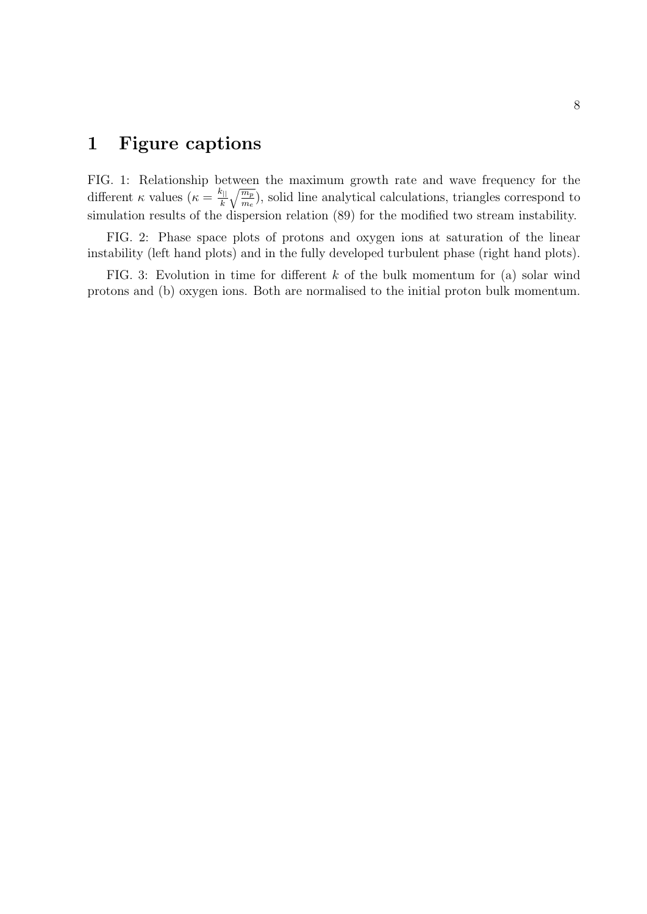## **1 Figure captions**

FIG. 1: Relationship between the maximum growth rate and wave frequency for the different *κ* values ( $\kappa = \frac{k_{||}}{k}$ √*m<sup>p</sup>*  $\frac{m_p}{m_e}$ ), solid line analytical calculations, triangles correspond to simulation results of the dispersion relation (89) for the modified two stream instability.

FIG. 2: Phase space plots of protons and oxygen ions at saturation of the linear instability (left hand plots) and in the fully developed turbulent phase (right hand plots).

FIG. 3: Evolution in time for different *k* of the bulk momentum for (a) solar wind protons and (b) oxygen ions. Both are normalised to the initial proton bulk momentum.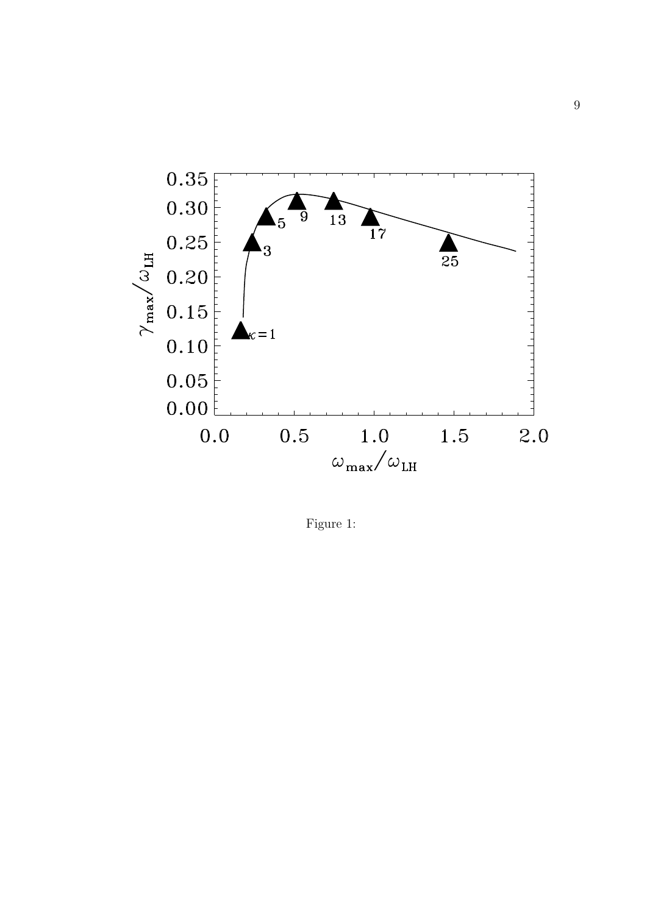

Figure 1: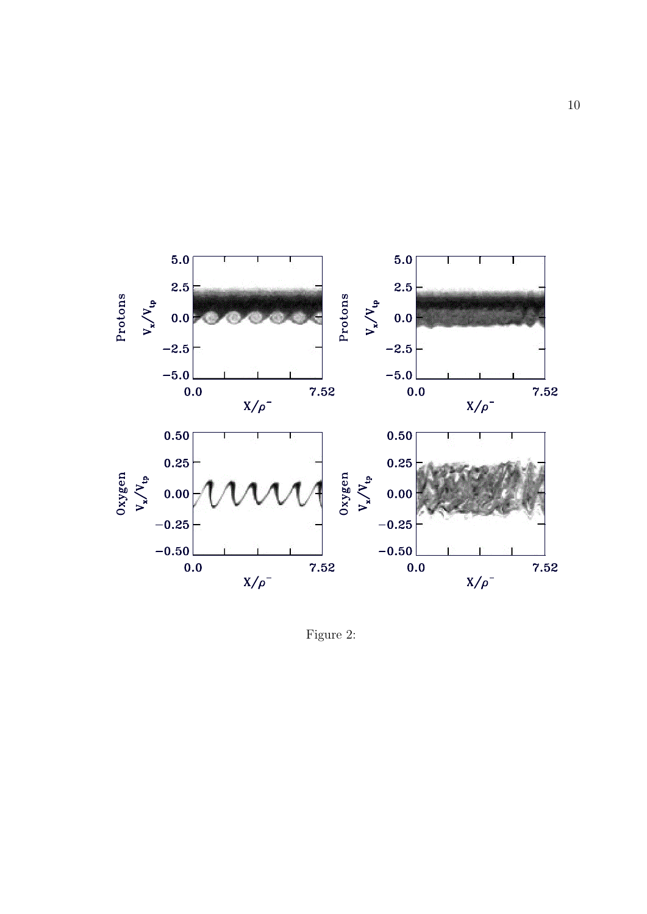

Figure 2: